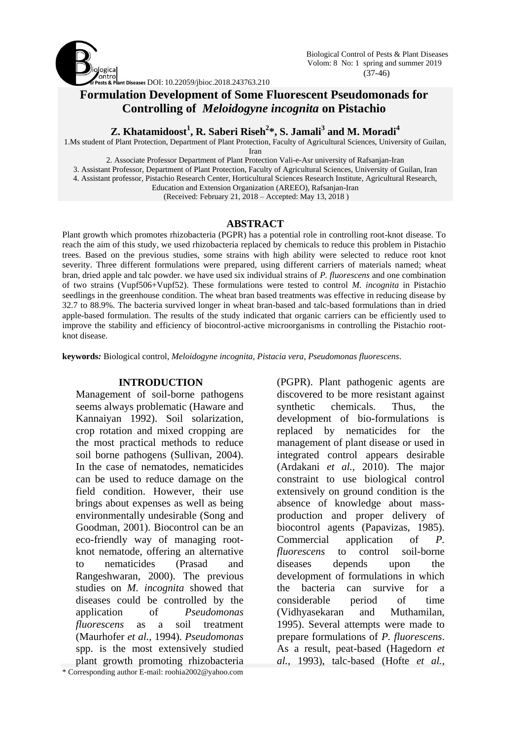

# **Formulation Development of Some Fluorescent Pseudomonads for Controlling of** *Meloidogyne incognita* **on Pistachio**

**Z. Khatamidoost<sup>1</sup> , R. Saberi Riseh<sup>2</sup> \*, S. Jamali<sup>3</sup> and M. Moradi<sup>4</sup>**

1.Ms student of Plant Protection, Department of Plant Protection, Faculty of Agricultural Sciences, University of Guilan, Iran

2. Associate Professor Department of Plant Protection Vali-e-Asr university of Rafsanjan-Iran 3. Assistant Professor, Department of Plant Protection, Faculty of Agricultural Sciences, University of Guilan, Iran 4. Assistant professor, Pistachio Research Center, Horticultural Sciences Research Institute, Agricultural Research,

Education and Extension Organization (AREEO), Rafsanjan-Iran

(Received: February 21, 2018 – Accepted: May 13, 2018 )

### **ABSTRACT**

Plant growth which promotes rhizobacteria (PGPR) has a potential role in controlling root-knot disease. To reach the aim of this study, we used rhizobacteria replaced by chemicals to reduce this problem in Pistachio trees. Based on the previous studies, some strains with high ability were selected to reduce root knot severity. Three different formulations were prepared, using different carriers of materials named; wheat bran, dried apple and talc powder. we have used six individual strains of *P. fluorescens* and one combination of two strains (Vupf506+Vupf52). These formulations were tested to control *M. incognita* in Pistachio seedlings in the greenhouse condition. The wheat bran based treatments was effective in reducing disease by 32.7 to 88.9%. The bacteria survived longer in wheat bran-based and talc-based formulations than in dried apple-based formulation. The results of the study indicated that organic carriers can be efficiently used to improve the stability and efficiency of biocontrol-active microorganisms in controlling the Pistachio rootknot disease.

**keywords***:* Biological control, *Meloidogyne incognita*, *Pistacia vera, Pseudomonas fluorescens*.

### **INTRODUCTION**

\* Corresponding author E-mail: roohia2002@yahoo.com Management of soil-borne pathogens seems always problematic (Haware and Kannaiyan 1992). Soil solarization, crop rotation and mixed cropping are the most practical methods to reduce soil borne pathogens (Sullivan, 2004). In the case of nematodes, nematicides can be used to reduce damage on the field condition. However, their use brings about expenses as well as being environmentally undesirable (Song and Goodman, 2001). Biocontrol can be an eco-friendly way of managing rootknot nematode, offering an alternative to nematicides (Prasad and Rangeshwaran, 2000). The previous studies on *M. incognita* showed that diseases could be controlled by the application of *Pseudomonas fluorescens* as a soil treatment (Maurhofer *et al.,* 1994). *Pseudomonas* spp. is the most extensively studied plant growth promoting rhizobacteria

synthetic chemicals. Thus, the development of bio-formulations is replaced by nematicides for the management of plant disease or used in integrated control appears desirable (Ardakani *et al.,* 2010). The major constraint to use biological control extensively on ground condition is the absence of knowledge about massproduction and proper delivery of biocontrol agents (Papavizas, 1985). Commercial application of *P. fluorescens* to control soil-borne diseases depends upon the development of formulations in which the bacteria can survive for a considerable period of time (Vidhyasekaran and Muthamilan, 1995). Several attempts were made to prepare formulations of *P. fluorescens*. As a result, peat-based (Hagedorn *et al.,* 1993), talc-based (Hofte *et al.,*

(PGPR). Plant pathogenic agents are discovered to be more resistant against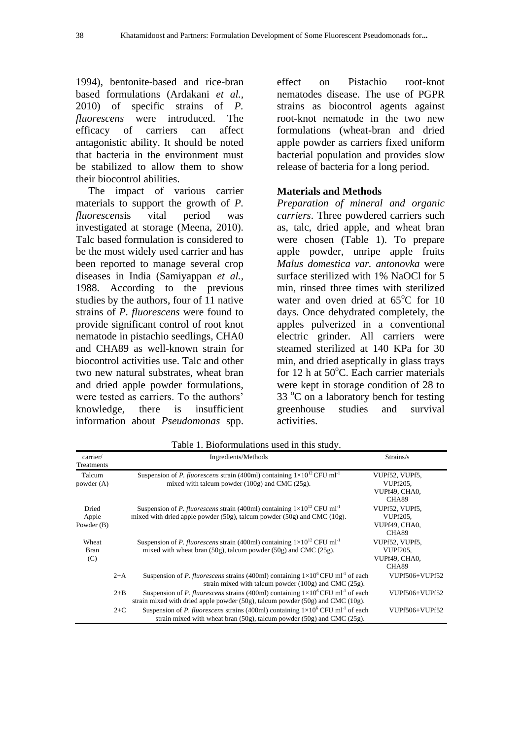1994), bentonite-based and rice-bran based formulations (Ardakani *et al.,* 2010) of specific strains of *P. fluorescens* were introduced. The efficacy of carriers can affect antagonistic ability. It should be noted that bacteria in the environment must be stabilized to allow them to show their biocontrol abilities.

The impact of various carrier materials to support the growth of *P. fluorescens*is vital period was investigated at storage (Meena, 2010). Talc based formulation is considered to be the most widely used carrier and has been reported to manage several crop diseases in India (Samiyappan *et al.,* 1988. According to the previous studies by the authors, four of 11 native strains of *P. fluorescens* were found to provide significant control of root knot nematode in pistachio seedlings, CHA0 and CHA89 as well-known strain for biocontrol activities use. Talc and other two new natural substrates, wheat bran and dried apple powder formulations, were tested as carriers. To the authors' knowledge, there is insufficient information about *Pseudomonas* spp.

effect on Pistachio root-knot nematodes disease. The use of PGPR strains as biocontrol agents against root-knot nematode in the two new formulations (wheat-bran and dried apple powder as carriers fixed uniform bacterial population and provides slow release of bacteria for a long period.

#### **Materials and Methods**

*Preparation of mineral and organic carriers*. Three powdered carriers such as, talc, dried apple, and wheat bran were chosen (Table 1). To prepare apple powder, unripe apple fruits *Malus domestica var. antonovka* were surface sterilized with 1% NaOCl for 5 min, rinsed three times with sterilized water and oven dried at  $65^{\circ}$ C for 10 days. Once dehydrated completely, the apples pulverized in a conventional electric grinder. All carriers were steamed sterilized at 140 KPa for 30 min, and dried aseptically in glass trays for 12 h at  $50^{\circ}$ C. Each carrier materials were kept in storage condition of 28 to 33  $\degree$ C on a laboratory bench for testing greenhouse studies and survival activities.

| carrier/<br>Treatments         |         | Ingredients/Methods                                                                                                                                                                          | Strains/s                                                            |
|--------------------------------|---------|----------------------------------------------------------------------------------------------------------------------------------------------------------------------------------------------|----------------------------------------------------------------------|
| Talcum<br>powder $(A)$         |         | Suspension of <i>P. fluorescens</i> strain (400ml) containing $1 \times 10^{12}$ CFU ml <sup>-1</sup><br>mixed with talcum powder $(100g)$ and CMC $(25g)$ .                                 | VUPf52, VUPf5,<br><b>VUPf205.</b><br>VUPf49, CHA0,                   |
| Dried<br>Apple<br>Powder $(B)$ |         | Suspension of P. fluorescens strain (400ml) containing $1\times10^{12}$ CFU ml <sup>-1</sup><br>mixed with dried apple powder $(50g)$ , talcum powder $(50g)$ and CMC $(10g)$ .              | CHA89<br>VUPf52, VUPf5.<br><b>VUPf205.</b><br>VUPf49, CHA0,<br>CHA89 |
| Wheat<br>Bran<br>(C)           |         | Suspension of P. fluorescens strain (400ml) containing $1\times10^{12}$ CFU ml <sup>-1</sup><br>mixed with wheat bran $(50g)$ , talcum powder $(50g)$ and CMC $(25g)$ .                      | VUPf52, VUPf5.<br><b>VUPf205.</b><br>VUPf49, CHA0.<br>CHA89          |
|                                | $2+A$   | Suspension of P. fluorescens strains (400ml) containing $1\times10^6$ CFU ml <sup>-1</sup> of each<br>strain mixed with talcum powder $(100g)$ and CMC $(25g)$ .                             | VUPf506+VUPf52                                                       |
|                                | $2 + B$ | Suspension of P. fluorescens strains (400ml) containing $1\times10^6$ CFU ml <sup>-1</sup> of each<br>strain mixed with dried apple powder $(50g)$ , talcum powder $(50g)$ and CMC $(10g)$ . | VUPf506+VUPf52                                                       |
|                                | $2+C$   | Suspension of P. fluorescens strains (400ml) containing $1\times10^6$ CFU ml <sup>-1</sup> of each<br>strain mixed with wheat bran (50g), talcum powder (50g) and CMC (25g).                 | VUPf506+VUPf52                                                       |

Table 1. Bioformulations used in this study.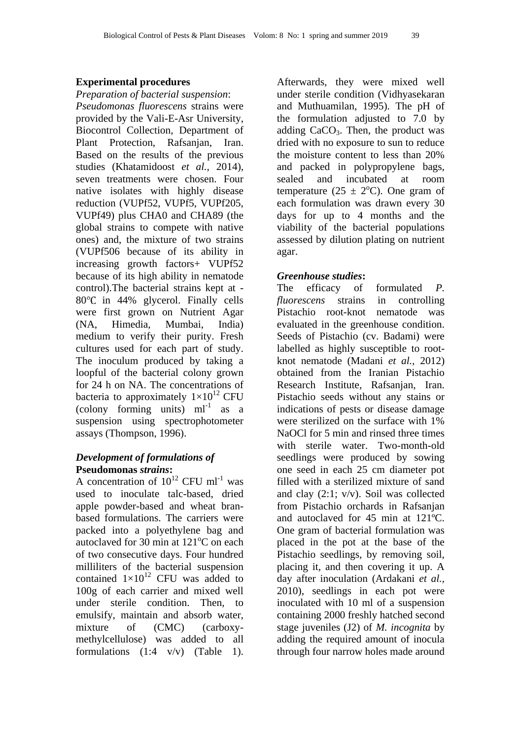## **Experimental procedures**

*Preparation of bacterial suspension*:

*Pseudomonas fluorescens* strains were provided by the Vali-E-Asr University, Biocontrol Collection, Department of Plant Protection, Rafsanjan, Iran. Based on the results of the previous studies (Khatamidoost *et al.,* 2014), seven treatments were chosen. Four native isolates with highly disease reduction (VUPf52, VUPf5, VUPf205, VUPf49) plus CHA0 and CHA89 (the global strains to compete with native ones) and, the mixture of two strains (VUPf506 because of its ability in increasing growth factors+ VUPf52 because of its high ability in nematode control).The bacterial strains kept at -  $80^{\circ}$ C in 44% glycerol. Finally cells were first grown on Nutrient Agar (NA, Himedia, Mumbai, India) medium to verify their purity. Fresh cultures used for each part of study. The inoculum produced by taking a loopful of the bacterial colony grown for 24 h on NA. The concentrations of bacteria to approximately  $1\times10^{12}$  CFU  $\text{(colony forming units)} \cdot \text{ml}^{-1} \text{ as a}$ suspension using spectrophotometer assays (Thompson, 1996).

## *Development of formulations of*  **Pseudomonas** *strains***:**

A concentration of  $10^{12}$  CFU ml<sup>-1</sup> was used to inoculate talc-based, dried apple powder-based and wheat branbased formulations. The carriers were packed into a polyethylene bag and autoclaved for 30 min at  $121^{\circ}$ C on each of two consecutive days. Four hundred milliliters of the bacterial suspension contained  $1\times10^{12}$  CFU was added to 100g of each carrier and mixed well under sterile condition. Then, to emulsify, maintain and absorb water, mixture of (CMC) (carboxymethylcellulose) was added to all formulations  $(1:4 \text{ v/v})$  (Table 1).

Afterwards, they were mixed well under sterile condition (Vidhyasekaran and Muthuamilan, 1995). The pH of the formulation adjusted to 7.0 by adding  $CaCO<sub>3</sub>$ . Then, the product was dried with no exposure to sun to reduce the moisture content to less than 20% and packed in polypropylene bags, sealed and incubated at room temperature (25  $\pm$  2<sup>o</sup>C). One gram of each formulation was drawn every 30 days for up to 4 months and the viability of the bacterial populations assessed by dilution plating on nutrient agar.

## *Greenhouse studies***:**

The efficacy of formulated *P. fluorescens* strains in controlling Pistachio root-knot nematode was evaluated in the greenhouse condition. Seeds of Pistachio (cv. Badami) were labelled as highly susceptible to rootknot nematode (Madani *et al.,* 2012) obtained from the Iranian Pistachio Research Institute, Rafsanjan, Iran. Pistachio seeds without any stains or indications of pests or disease damage were sterilized on the surface with 1% NaOCl for 5 min and rinsed three times with sterile water. Two-month-old seedlings were produced by sowing one seed in each 25 cm diameter pot filled with a sterilized mixture of sand and clay (2:1; v/v). Soil was collected from Pistachio orchards in Rafsanjan and autoclaved for 45 min at 121ºC. One gram of bacterial formulation was placed in the pot at the base of the Pistachio seedlings, by removing soil, placing it, and then covering it up. A day after inoculation (Ardakani *et al.,* 2010), seedlings in each pot were inoculated with 10 ml of a suspension containing 2000 freshly hatched second stage juveniles (J2) of *M. incognita* by adding the required amount of inocula through four narrow holes made around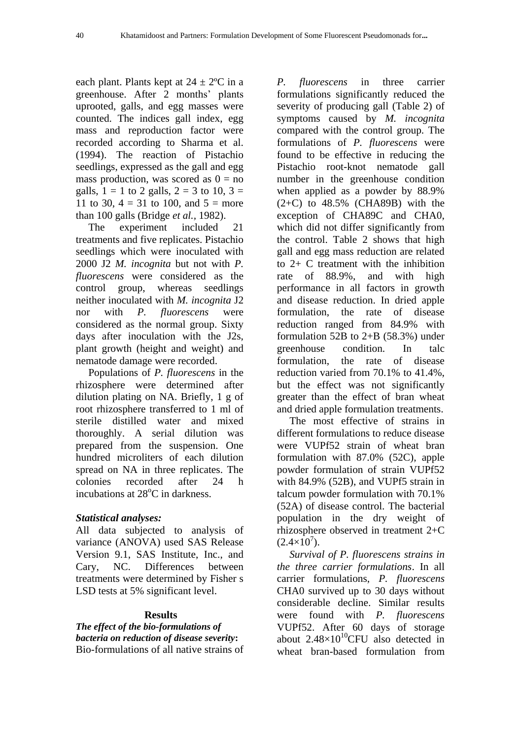each plant. Plants kept at  $24 \pm 2$ <sup>o</sup>C in a greenhouse. After 2 months' plants uprooted, galls, and egg masses were counted. The indices gall index, egg mass and reproduction factor were recorded according to Sharma et al. (1994). The reaction of Pistachio seedlings, expressed as the gall and egg mass production, was scored as  $0 = no$ galls,  $1 = 1$  to 2 galls,  $2 = 3$  to 10,  $3 = 1$ 11 to 30,  $4 = 31$  to 100, and  $5 =$  more than 100 galls (Bridge *et al.,* 1982).

The experiment included 21 treatments and five replicates. Pistachio seedlings which were inoculated with 2000 J2 *M. incognita* but not with *P. fluorescens* were considered as the control group, whereas seedlings neither inoculated with *M. incognita* J2 nor with *P. fluorescens* were considered as the normal group. Sixty days after inoculation with the J2s, plant growth (height and weight) and nematode damage were recorded.

Populations of *P. fluorescens* in the rhizosphere were determined after dilution plating on NA. Briefly, 1 g of root rhizosphere transferred to 1 ml of sterile distilled water and mixed thoroughly. A serial dilution was prepared from the suspension. One hundred microliters of each dilution spread on NA in three replicates. The colonies recorded after 24 h incubations at  $28^{\circ}$ C in darkness.

## *Statistical analyses:*

All data subjected to analysis of variance (ANOVA) used SAS Release Version 9.1, SAS Institute, Inc., and Cary, NC. Differences between treatments were determined by Fisher s LSD tests at 5% significant level.

## **Results**

*The effect of the bio-formulations of bacteria on reduction of disease severity***:**  Bio-formulations of all native strains of *P. fluorescens* in three carrier formulations significantly reduced the severity of producing gall (Table 2) of symptoms caused by *M. incognita* compared with the control group. The formulations of *P. fluorescens* were found to be effective in reducing the Pistachio root-knot nematode gall number in the greenhouse condition when applied as a powder by 88.9%  $(2+C)$  to  $48.5\%$  (CHA89B) with the exception of CHA89C and CHA0, which did not differ significantly from the control. Table 2 shows that high gall and egg mass reduction are related to 2+ C treatment with the inhibition rate of 88.9%, and with high performance in all factors in growth and disease reduction. In dried apple formulation, the rate of disease reduction ranged from 84.9% with formulation 52B to  $2+B$  (58.3%) under greenhouse condition. In talc formulation, the rate of disease reduction varied from 70.1% to 41.4%, but the effect was not significantly greater than the effect of bran wheat and dried apple formulation treatments.

The most effective of strains in different formulations to reduce disease were VUPf52 strain of wheat bran formulation with 87.0% (52C), apple powder formulation of strain VUPf52 with 84.9% (52B), and VUPf5 strain in talcum powder formulation with 70.1% (52A) of disease control. The bacterial population in the dry weight of rhizosphere observed in treatment 2+C  $(2.4 \times 10^7)$ .

*Survival of P. fluorescens strains in the three carrier formulations*. In all carrier formulations, *P. fluorescens*  CHA0 survived up to 30 days without considerable decline. Similar results were found with *P. fluorescens* VUPf52. After 60 days of storage about  $2.48\times10^{10}$ CFU also detected in wheat bran-based formulation from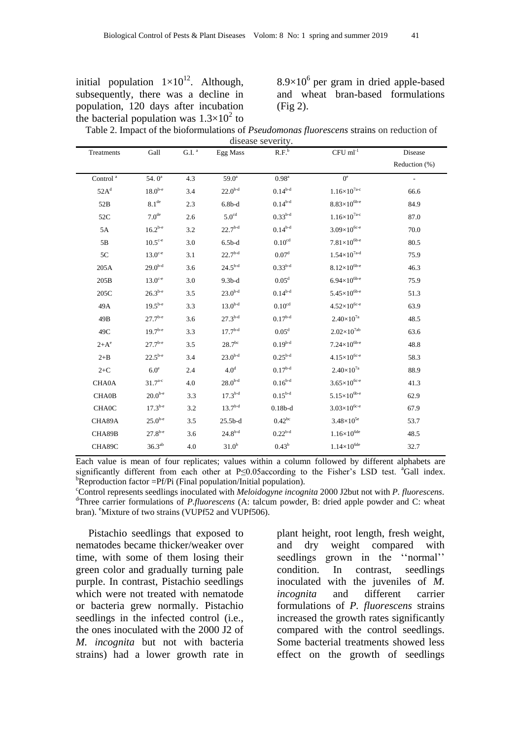|                                      | initial population $1 \times 10^{12}$ . Although, |
|--------------------------------------|---------------------------------------------------|
| subsequently, there was a decline in |                                                   |
|                                      | population, 120 days after incubation             |
|                                      | the bacterial population was $1.3 \times 10^2$ to |

 $8.9\times10^{6}$  per gram in dried apple-based and wheat bran-based formulations (Fig 2).

| Table 2. Impact of the bioformulations of <i>Pseudomonas fluorescens</i> strains on reduction of |
|--------------------------------------------------------------------------------------------------|
| disease severity.                                                                                |

| Treatments         | Gall                | $G.I.$ <sup>a</sup> | Egg Mass          | R.F.               | $CFU$ ml <sup>-1</sup>           | Disease       |
|--------------------|---------------------|---------------------|-------------------|--------------------|----------------------------------|---------------|
|                    |                     |                     |                   |                    |                                  | Reduction (%) |
| Control $^{\rm a}$ | 54. $0^a$           | 4.3                 | $59.0^{\rm a}$    | 0.98 <sup>a</sup>  | $0^e$                            |               |
| 52A <sup>d</sup>   | $18.0^{b-e}$        | 3.4                 | $22.0^{b-d}$      | $0.14^{b-d}$       | $1.16\times10^{7a-c}$            | 66.6          |
| 52B                | 8.1 <sup>de</sup>   | 2.3                 | $6.8b-d$          | $0.14^{b-d}$       | $8.83{\times}10^{6b\text{-}e}$   | 84.9          |
| 52C                | 7.0 <sup>de</sup>   | 2.6                 | $5.0^{\text{cd}}$ | $0.33^{b-d}$       | $1.16 \times 10^{7\textrm{a-c}}$ | 87.0          |
| 5A                 | $16.2^{b-e}$        | 3.2                 | $22.7^{b-d}$      | $0.14^{b-d}$       | $3.09\times10^{6c-e}$            | 70.0          |
| 5B                 | $10.5^{\text{c-e}}$ | 3.0                 | $6.5b-d$          | 0.10 <sup>cd</sup> | $7.81\times10^{6b-e}$            | 80.5          |
| 5C                 | $13.0^{\circ -e}$   | 3.1                 | $22.7^{b-d}$      | 0.07 <sup>d</sup>  | $1.54{\times}10^{7\text{a-d}}$   | 75.9          |
| 205A               | $29.0^{b-d}$        | 3.6                 | $24.5^{b-d}$      | $0.33^{b-d}$       | $8.12\times10^{6b-e}$            | 46.3          |
| 205B               | $13.0^{\circ -e}$   | 3.0                 | $9.3b-d$          | 0.05 <sup>d</sup>  | $6.94\times10^{6b-e}$            | 75.9          |
| 205C               | $26.3^{b-e}$        | 3.5                 | $23.0^{b-d}$      | $0.14^{b-d}$       | $5.45\times10^{6b-e}$            | 51.3          |
| 49A                | $19.5^{b-e}$        | 3.3                 | $13.0^{b-d}$      | 0.10 <sup>cd</sup> | $4.52\times10^{6c-e}$            | 63.9          |
| 49B                | $27.7^{b-e}$        | 3.6                 | $27.3^{b-d}$      | $0.17^{b-d}$       | $2.40\times10^{7a}$              | 48.5          |
| 49C                | $19.7^{b-e}$        | 3.3                 | $17.7^{b-d}$      | 0.05 <sup>d</sup>  | $2.02{\times}10^{7\text{ab}}$    | 63.6          |
| $2+A^e$            | $27.7^{b-e}$        | 3.5                 | $28.7^{\rm bc}$   | $0.19^{b-d}$       | $7.24\times10^{6b-e}$            | 48.8          |
| $2 + B$            | $22.5^{b-e}$        | 3.4                 | $23.0^{b-d}$      | $0.25^{b-d}$       | $4.15\times10^{6c-e}$            | 58.3          |
| $2+C$              | 6.0 <sup>e</sup>    | 2.4                 | 4.0 <sup>d</sup>  | $0.17^{b-d}$       | $2.40\times10^{7a}$              | 88.9          |
| <b>CHA0A</b>       | $31.7^{a-c}$        | 4.0                 | $28.0^{b-d}$      | $0.16^{b-d}$       | $3.65\times10^{6c-e}$            | 41.3          |
| <b>CHA0B</b>       | $20.0^{b-e}$        | 3.3                 | $17.3^{b-d}$      | $0.15^{b-d}$       | $5.15\times10^{6b-e}$            | 62.9          |
| <b>CHAOC</b>       | $17.3^{b-e}$        | 3.2                 | $13.7^{b-d}$      | $0.18b-d$          | $3.03\times10^{6c-e}$            | 67.9          |
| CHA89A             | $25.0^{b-e}$        | 3.5                 | $25.5b-d$         | $0.42^{bc}$        | $3.48\times10^{5e}$              | 53.7          |
| CHA89B             | $27.8^{b-e}$        | 3.6                 | $24.8^{b-d}$      | $0.22^{b-d}$       | $1.16\times10^{6\textrm{de}}$    | 48.5          |
| CHA89C             | $36.3^{ab}$         | 4.0                 | 31.0 <sup>b</sup> | $0.43^b$           | $1.14\times10^{6de}$             | 32.7          |

Each value is mean of four replicates; values within a column followed by different alphabets are significantly different from each other at P≤0.05according to the Fisher's LSD test. <sup>a</sup>Gall index.  ${}^{\text{b}}$ Reproduction factor =Pf/Pi (Final population/Initial population).

<sup>c</sup>Control represents seedlings inoculated with *Meloidogyne incognita* 2000 J2but not with *P. fluorescens*. <sup>d</sup>Three carrier formulations of *P.fluorescens* (A: talcum powder, B: dried apple powder and C: wheat bran). <sup>e</sup>Mixture of two strains (VUPf52 and VUPf506).

Pistachio seedlings that exposed to nematodes became thicker/weaker over time, with some of them losing their green color and gradually turning pale purple. In contrast, Pistachio seedlings which were not treated with nematode or bacteria grew normally. Pistachio seedlings in the infected control (i.e., the ones inoculated with the 2000 J2 of *M. incognita* but not with bacteria strains) had a lower growth rate in plant height, root length, fresh weight, and dry weight compared with seedlings grown in the "normal" condition. In contrast, seedlings inoculated with the juveniles of *M. incognita* and different carrier formulations of *P. fluorescens* strains increased the growth rates significantly compared with the control seedlings. Some bacterial treatments showed less effect on the growth of seedlings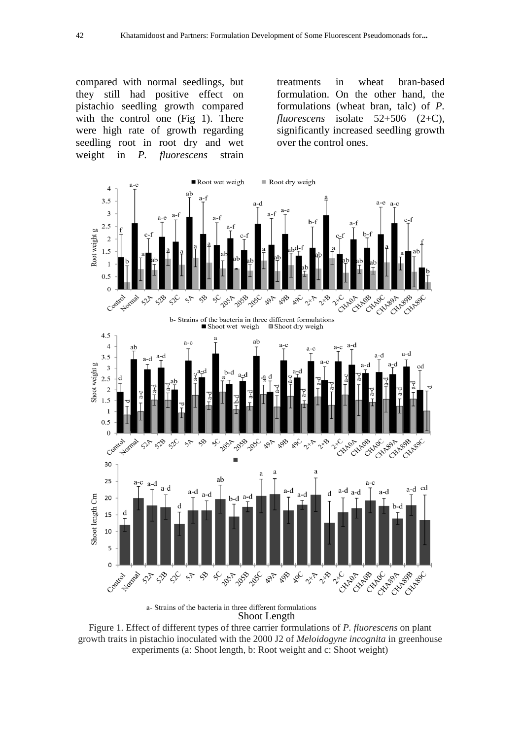compared with normal seedlings, but they still had positive effect on pistachio seedling growth compared with the control one (Fig 1). There were high rate of growth regarding seedling root in root dry and wet weight in *P. fluorescens* strain

treatments in wheat bran-based formulation. On the other hand, the formulations (wheat bran, talc) of *P. fluorescens* isolate 52+506 (2+C), significantly increased seedling growth over the control ones.



Figure 1. Effect of different types of three carrier formulations of *P. fluorescens* on plant growth traits in pistachio inoculated with the 2000 J2 of *Meloidogyne incognita* in greenhouse experiments (a: Shoot length, b: Root weight and c: Shoot weight)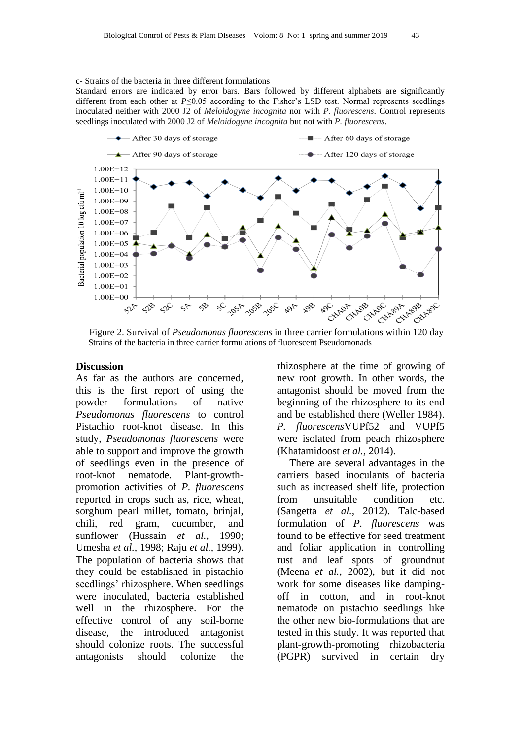#### c- Strains of the bacteria in three different formulations

Standard errors are indicated by error bars. Bars followed by different alphabets are significantly different from each other at *P*≤0.05 according to the Fisher's LSD test. Normal represents seedlings inoculated neither with 2000 J2 of *Meloidogyne incognita* nor with *P. fluorescens*. Control represents seedlings inoculated with 2000 J2 of *Meloidogyne incognita* but not with *P. fluorescens*.



Strains of the bacteria in three carrier formulations of fluorescent Pseudomonads

#### **Discussion**

As far as the authors are concerned, this is the first report of using the powder formulations of native *Pseudomonas fluorescens* to control Pistachio root-knot disease. In this study, *Pseudomonas fluorescens* were able to support and improve the growth of seedlings even in the presence of root-knot nematode. Plant-growthpromotion activities of *P. fluorescens* reported in crops such as, rice, wheat, sorghum pearl millet, tomato, brinjal, chili, red gram, cucumber, and sunflower (Hussain *et al.,* 1990; Umesha *et al.,* 1998; Raju *et al.,* 1999). The population of bacteria shows that they could be established in pistachio seedlings' rhizosphere. When seedlings were inoculated, bacteria established well in the rhizosphere. For the effective control of any soil-borne disease, the introduced antagonist should colonize roots. The successful antagonists should colonize the rhizosphere at the time of growing of new root growth. In other words, the antagonist should be moved from the beginning of the rhizosphere to its end and be established there (Weller 1984). *P. fluorescens*VUPf52 and VUPf5 were isolated from peach rhizosphere (Khatamidoost *et al.,* 2014).

There are several advantages in the carriers based inoculants of bacteria such as increased shelf life, protection from unsuitable condition etc. (Sangetta *et al.,* 2012). Talc-based formulation of *P. fluorescens* was found to be effective for seed treatment and foliar application in controlling rust and leaf spots of groundnut (Meena *et al.,* 2002), but it did not work for some diseases like dampingoff in cotton, and in root-knot nematode on pistachio seedlings like the other new bio-formulations that are tested in this study. It was reported that plant-growth-promoting rhizobacteria (PGPR) survived in certain dry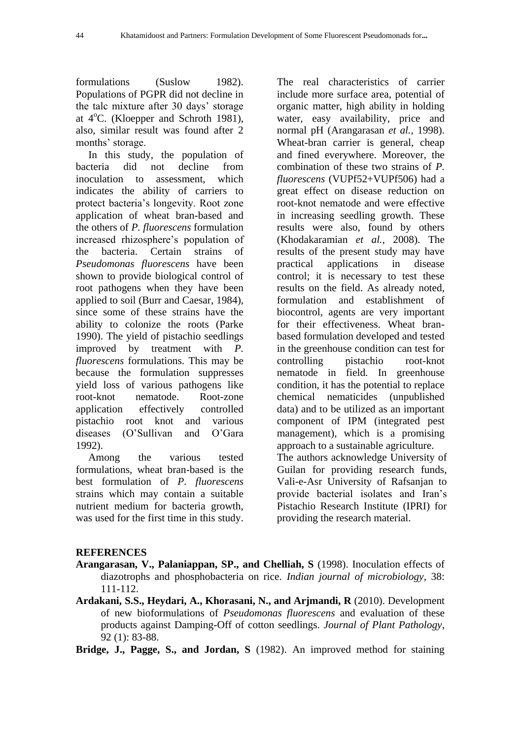formulations (Suslow 1982). Populations of PGPR did not decline in the talc mixture after 30 days' storage at  $4^{\circ}$ C. (Kloepper and Schroth 1981), also, similar result was found after 2 months' storage.

In this study, the population of bacteria did not decline from inoculation to assessment, which indicates the ability of carriers to protect bacteria's longevity. Root zone application of wheat bran-based and the others of *P. fluorescens* formulation increased rhizosphere's population of the bacteria. Certain strains of *Pseudomonas fluorescens* have been shown to provide biological control of root pathogens when they have been applied to soil (Burr and Caesar, 1984), since some of these strains have the ability to colonize the roots (Parke 1990). The yield of pistachio seedlings improved by treatment with *P. fluorescens* formulations. This may be because the formulation suppresses yield loss of various pathogens like root-knot nematode. Root-zone application effectively controlled pistachio root knot and various diseases (O'Sullivan and O'Gara 1992).

Among the various tested formulations, wheat bran-based is the best formulation of *P. fluorescens* strains which may contain a suitable nutrient medium for bacteria growth, was used for the first time in this study.

The real characteristics of carrier include more surface area, potential of organic matter, high ability in holding water, easy availability, price and normal pH (Arangarasan *et al.,* 1998). Wheat-bran carrier is general, cheap and fined everywhere. Moreover, the combination of these two strains of *P. fluorescens* (VUPf52+VUPf506) had a great effect on disease reduction on root-knot nematode and were effective in increasing seedling growth. These results were also, found by others (Khodakaramian *et al.,* 2008). The results of the present study may have practical applications in disease control; it is necessary to test these results on the field. As already noted, formulation and establishment of biocontrol, agents are very important for their effectiveness. Wheat branbased formulation developed and tested in the greenhouse condition can test for controlling pistachio root-knot nematode in field. In greenhouse condition, it has the potential to replace chemical nematicides (unpublished data) and to be utilized as an important component of IPM (integrated pest management), which is a promising approach to a sustainable agriculture. The authors acknowledge University of Guilan for providing research funds, Vali-e-Asr University of Rafsanjan to provide bacterial isolates and Iran's Pistachio Research Institute (IPRI) for providing the research material.

### **REFERENCES**

- **Arangarasan, V., Palaniappan, SP., and Chelliah, S** (1998). Inoculation effects of diazotrophs and phosphobacteria on rice. *Indian journal of microbiology*, 38: 111-112.
- **Ardakani, S.S., Heydari, A., Khorasani, N., and Arjmandi, R** (2010). Development of new bioformulations of *Pseudomonas fluorescens* and evaluation of these products against Damping-Off of cotton seedlings. *Journal of Plant Pathology*, 92 (1): 83-88.

**Bridge, J., Pagge, S., and Jordan, S** (1982). An improved method for staining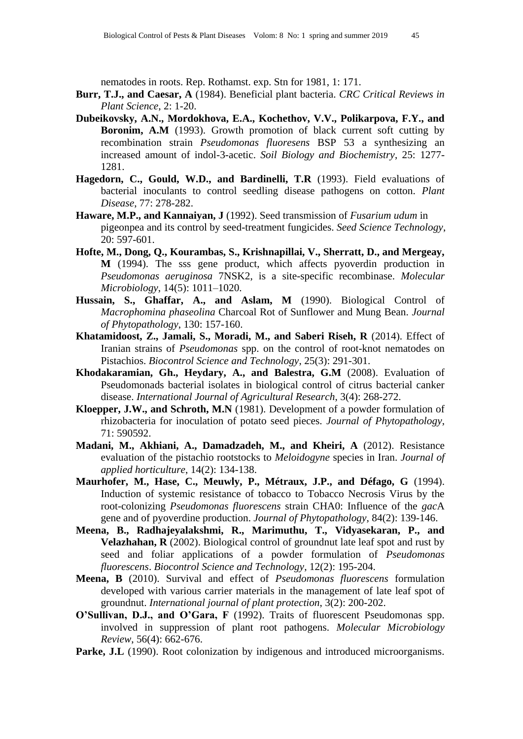nematodes in roots. Rep. Rothamst. exp. Stn for 1981, 1: 171.

- **Burr, T.J., and Caesar, A** (1984). Beneficial plant bacteria. *CRC Critical Reviews in Plant Science*, 2: 1-20.
- **Dubeikovsky, A.N., Mordokhova, E.A., Kochethov, V.V., Polikarpova, F.Y., and Boronim, A.M** (1993). Growth promotion of black current soft cutting by recombination strain *Pseudomonas fluoresens* BSP 53 a synthesizing an increased amount of indol-3-acetic. *Soil Biology and Biochemistry*, 25: 1277- 1281.
- **Hagedorn, C., Gould, W.D., and Bardinelli, T.R** (1993). Field evaluations of bacterial inoculants to control seedling disease pathogens on cotton. *Plant Disease*, 77: 278-282.
- **Haware, M.P., and Kannaiyan, J** (1992). Seed transmission of *Fusarium udum* in pigeonpea and its control by seed-treatment fungicides. *Seed Science Technology*, 20: 597-601.
- **Hofte, M., Dong, Q., Kourambas, S., Krishnapillai, V., Sherratt, D., and Mergeay, M** (1994). The sss gene product, which affects pyoverdin production in *Pseudomonas aeruginosa* 7NSK2, is a site-specific recombinase. *Molecular Microbiology*, 14(5): 1011–1020.
- **Hussain, S., Ghaffar, A., and Aslam, M** (1990). Biological Control of *Macrophomina phaseolina* Charcoal Rot of Sunflower and Mung Bean. *Journal of Phytopathology*, 130: 157-160.
- **Khatamidoost, Z., Jamali, S., Moradi, M., and Saberi Riseh, R** (2014). Effect of Iranian strains of *Pseudomonas* spp. on the control of root-knot nematodes on Pistachios. *Biocontrol Science and Technology*, 25(3): 291-301.
- **Khodakaramian, Gh., Heydary, A., and Balestra, G.M** (2008). Evaluation of Pseudomonads bacterial isolates in biological control of citrus bacterial canker disease. *International Journal of Agricultural Research*, 3(4): 268-272.
- **Kloepper, J.W., and Schroth, M.N** (1981). Development of a powder formulation of rhizobacteria for inoculation of potato seed pieces. *Journal of Phytopathology*, 71: 590592.
- **Madani, M., Akhiani, A., Damadzadeh, M., and Kheiri, A** (2012). Resistance evaluation of the pistachio rootstocks to *Meloidogyne* species in Iran. *Journal of applied horticulture*, 14(2): 134-138.
- **Maurhofer, M., Hase, C., Meuwly, P., Métraux, J.P., and Défago, G** (1994). Induction of systemic resistance of tobacco to Tobacco Necrosis Virus by the root-colonizing *Pseudomonas fluorescens* strain CHA0: Influence of the *gac*A gene and of pyoverdine production. *Journal of Phytopathology*, 84(2): 139-146.
- **Meena, B., Radhajeyalakshmi, R., Marimuthu, T., Vidyasekaran, P., and Velazhahan, R** (2002). Biological control of groundnut late leaf spot and rust by seed and foliar applications of a powder formulation of *Pseudomonas fluorescens*. *Biocontrol Science and Technology*, 12(2): 195-204.
- **Meena, B** (2010). Survival and effect of *Pseudomonas fluorescens* formulation developed with various carrier materials in the management of late leaf spot of groundnut. *International journal of plant protection*, 3(2): 200-202.
- **O'Sullivan, D.J., and O'Gara, F** (1992). Traits of fluorescent Pseudomonas spp. involved in suppression of plant root pathogens. *Molecular Microbiology Review*, 56(4): 662-676.
- Parke, J.L (1990). Root colonization by indigenous and introduced microorganisms.